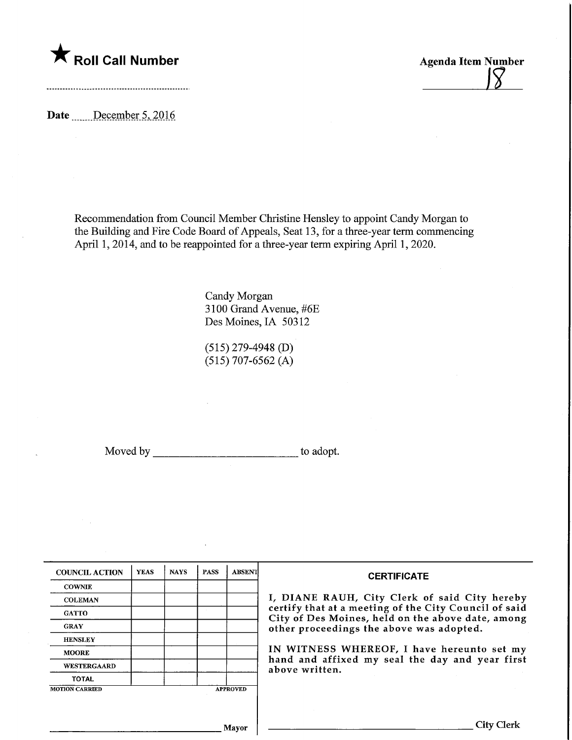

Date December 5, 2016

Recommendation from Council Member Christine Hensley to appoint Candy Morgan to the Building and Fire Code Board of Appeals, Seat 13, for a three-year term commencing April 1, 2014, and to be reappointed for a three-year term expiring April 1, 2020.

> Candy Morgan 3100 Grand Avenue, #6E Des Moines, IA 50312

(515) 279-4948 (D) (515) 707-6562 (A)

Moved by \_\_\_\_\_\_\_\_\_\_\_\_\_\_\_\_\_\_\_\_\_\_\_\_\_\_\_\_\_\_\_to adopt.

| <b>COUNCIL ACTION</b> | <b>YEAS</b> | <b>NAYS</b> | <b>PASS</b> | <b>ABSENT</b>   | <b>CERTIFICATE</b>                                                                                         |
|-----------------------|-------------|-------------|-------------|-----------------|------------------------------------------------------------------------------------------------------------|
| <b>COWNIE</b>         |             |             |             |                 |                                                                                                            |
| <b>COLEMAN</b>        |             |             |             |                 | I, DIANE RAUH, City Clerk of said City hereby                                                              |
| <b>GATTO</b>          |             |             |             |                 | certify that at a meeting of the City Council of said<br>City of Des Moines, held on the above date, among |
| <b>GRAY</b>           |             |             |             |                 | other proceedings the above was adopted.                                                                   |
| <b>HENSLEY</b>        |             |             |             |                 |                                                                                                            |
| <b>MOORE</b>          |             |             |             |                 | IN WITNESS WHEREOF, I have hereunto set my                                                                 |
| <b>WESTERGAARD</b>    |             |             |             |                 | hand and affixed my seal the day and year first<br>above written.                                          |
| <b>TOTAL</b>          |             |             |             |                 |                                                                                                            |
| <b>MOTION CARRIED</b> |             |             |             | <b>APPROVED</b> |                                                                                                            |
|                       |             |             |             |                 |                                                                                                            |
|                       |             |             |             |                 |                                                                                                            |
|                       |             |             |             | Mayor           | City Clerk                                                                                                 |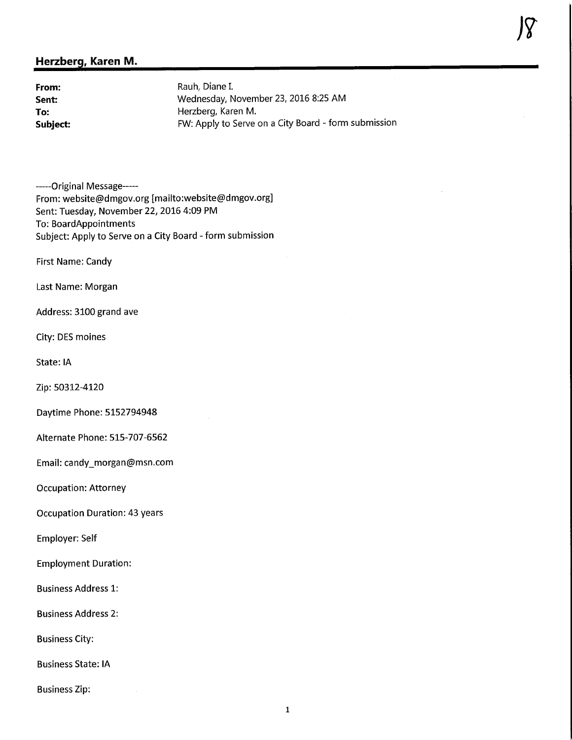## Herzberg, Karen M.

**From:** Rauh, Diane I.<br> **Sent:** Wednesday, N Wednesday, November 23, 2016 8:25 AM To: To: The Herzberg, Karen M.<br>
Subject: The FW: Apply to Serve FW: Apply to Serve on a City Board - form submission

-----Original Message-----From: website@dmgov.org [mailto:website@dmgov.org] Sent: Tuesday, November 22, 2016 4:09 PM To: BoardAppointments Subject: Apply to Serve on a City Board - form submission

First Name: Candy

Last Name: Morgan

Address: 3100 grand ave

City: DES moines

State: IA

Zip: 50312-4120

Daytime Phone: 5152794948

Alternate Phone: 515-707-6562

Email: candy\_morgan@msn.com

Occupation: Attorney

Occupation Duration: 43 years

Employer: Self

Employment Duration:

Business Address 1:

Business Address 2:

Business City:

Business State: IA

Business Zip: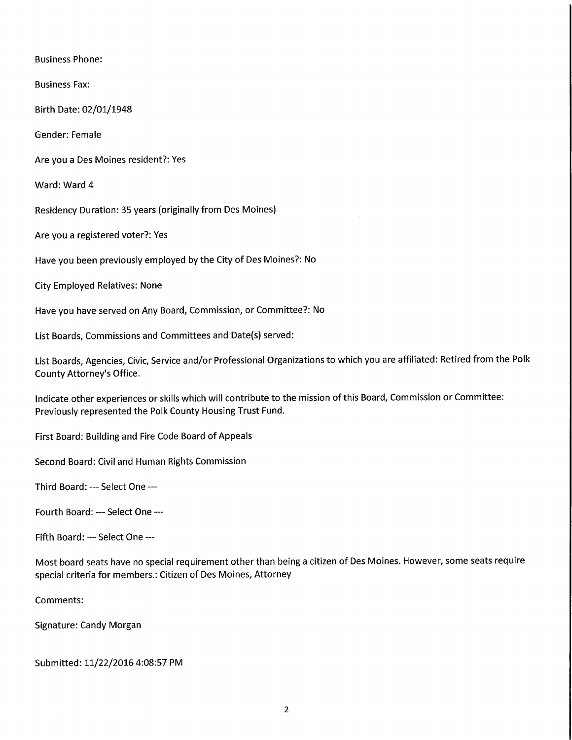Business Phone:

Business Fax:

Birth Date: 02/01/1948

Gender: Female

Are you a Des Moines resident?: Yes

Ward: Ward 4

Residency Duration: 35 years (originally from Des Moines)

Are you a registered voter?: Yes

Have you been previously employed by the City of Des Moines?: No

City Employed Relatives: None

Have you have served on Any Board, Commission, or Committee?: No

List Boards, Commissions and Committees and Date(s) served:

List Boards, Agencies, Civic, Service and/or Professional Organizations to which you are affiliated: Retired from the Polk County Attorney's Office.

Indicate other experiences or skills which will contribute to the mission of this Board, Commission or Committee: Previously represented the Polk County Housing Trust Fund.

First Board: Building and Fire Code Board of Appeals

Second Board: Civil and Human Rights Commission

Third Board: — Select One —

Fourth Board: --- Select One ---

Fifth Board: --- Select One ---

Most board seats have no special requirement other than being a citizen of Des Moines. However, some seats require special criteria for members.: Citizen of Des Moines, Attorney

Comments:

Signature: Candy Morgan

Submitted: 11/22/20164:08:57 PM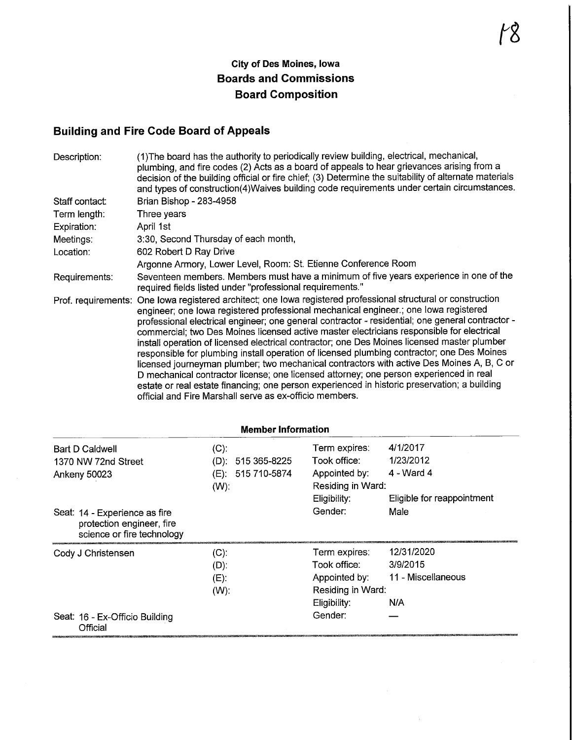## Building and Fire Code Board of Appeals

| Description:   | (1) The board has the authority to periodically review building, electrical, mechanical,<br>plumbing, and fire codes (2) Acts as a board of appeals to hear grievances arising from a<br>decision of the building official or fire chief; (3) Determine the suitability of alternate materials<br>and types of construction(4)Waives building code requirements under certain circumstances.                                                                                                                                                                                                                                                                                                                                                                                                                                                                                                                                                            |
|----------------|---------------------------------------------------------------------------------------------------------------------------------------------------------------------------------------------------------------------------------------------------------------------------------------------------------------------------------------------------------------------------------------------------------------------------------------------------------------------------------------------------------------------------------------------------------------------------------------------------------------------------------------------------------------------------------------------------------------------------------------------------------------------------------------------------------------------------------------------------------------------------------------------------------------------------------------------------------|
| Staff contact: | Brian Bishop - 283-4958                                                                                                                                                                                                                                                                                                                                                                                                                                                                                                                                                                                                                                                                                                                                                                                                                                                                                                                                 |
| Term length:   | Three years                                                                                                                                                                                                                                                                                                                                                                                                                                                                                                                                                                                                                                                                                                                                                                                                                                                                                                                                             |
| Expiration:    | April 1st                                                                                                                                                                                                                                                                                                                                                                                                                                                                                                                                                                                                                                                                                                                                                                                                                                                                                                                                               |
| Meetings:      | 3:30, Second Thursday of each month,                                                                                                                                                                                                                                                                                                                                                                                                                                                                                                                                                                                                                                                                                                                                                                                                                                                                                                                    |
| Location:      | 602 Robert D Ray Drive                                                                                                                                                                                                                                                                                                                                                                                                                                                                                                                                                                                                                                                                                                                                                                                                                                                                                                                                  |
|                | Argonne Armory, Lower Level, Room: St. Etienne Conference Room                                                                                                                                                                                                                                                                                                                                                                                                                                                                                                                                                                                                                                                                                                                                                                                                                                                                                          |
| Requirements:  | Seventeen members. Members must have a minimum of five years experience in one of the<br>required fields listed under "professional requirements."                                                                                                                                                                                                                                                                                                                                                                                                                                                                                                                                                                                                                                                                                                                                                                                                      |
|                | Prof. requirements: One lowa registered architect; one lowa registered professional structural or construction<br>engineer; one lowa registered professional mechanical engineer .; one lowa registered<br>professional electrical engineer; one general contractor - residential; one general contractor -<br>commercial; two Des Moines licensed active master electricians responsible for electrical<br>install operation of licensed electrical contractor; one Des Moines licensed master plumber<br>responsible for plumbing install operation of licensed plumbing contractor; one Des Moines<br>licensed journeyman plumber; two mechanical contractors with active Des Moines A, B, C or<br>D mechanical contractor license; one licensed attorney; one person experienced in real<br>estate or real estate financing; one person experienced in historic preservation; a building<br>official and Fire Marshall serve as ex-officio members. |

| <b>Member Information</b>                                                                |                                                                 |                                                                                     |                                                     |  |
|------------------------------------------------------------------------------------------|-----------------------------------------------------------------|-------------------------------------------------------------------------------------|-----------------------------------------------------|--|
| <b>Bart D Caldwell</b><br>1370 NW 72nd Street<br>Ankeny 50023                            | $(C)$ :<br>515 365-8225<br>(D):<br>(E): 515 710-5874<br>$(W)$ : | Term expires:<br>Took office:<br>Appointed by:<br>Residing in Ward:                 | 4/1/2017<br>1/23/2012<br>4 - Ward 4                 |  |
| Seat: 14 - Experience as fire<br>protection engineer, fire<br>science or fire technology |                                                                 | Eligibility:<br>Gender:                                                             | Eligible for reappointment<br>Male                  |  |
| Cody J Christensen                                                                       | $(C)$ :<br>$(D)$ :<br>$(E)$ :<br>$(W)$ .                        | Term expires:<br>Took office:<br>Appointed by:<br>Residing in Ward:<br>Eligibility: | 12/31/2020<br>3/9/2015<br>11 - Miscellaneous<br>N/A |  |
| Seat: 16 - Ex-Officio Building<br>Official                                               |                                                                 | Gender:                                                                             |                                                     |  |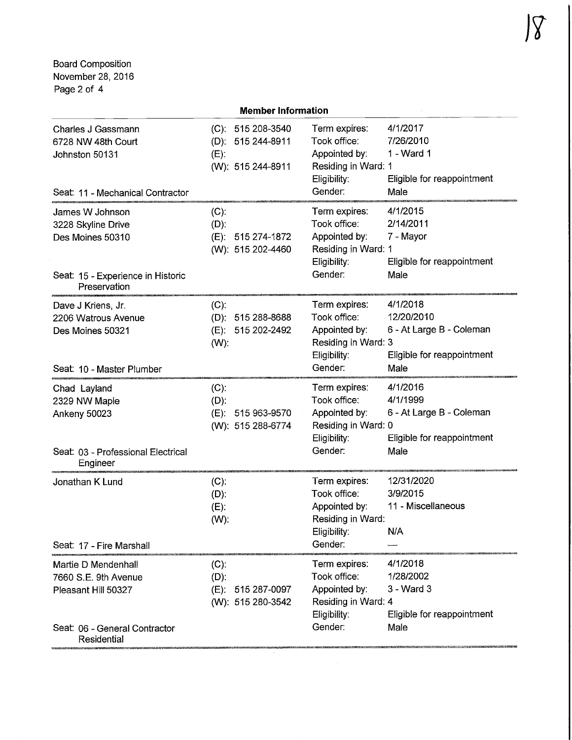Board Composition November 28, 2016 Page 2 of 4

|                                                                                                                    | <b>Member Information</b>                                               |                                                                                                  |                                                                                          |
|--------------------------------------------------------------------------------------------------------------------|-------------------------------------------------------------------------|--------------------------------------------------------------------------------------------------|------------------------------------------------------------------------------------------|
| Charles J Gassmann<br>6728 NW 48th Court<br>Johnston 50131<br>Seat: 11 - Mechanical Contractor                     | (C): 515 208-3540<br>$(D): 515244-8911$<br>$(E)$ :<br>(W): 515 244-8911 | Term expires:<br>Took office:<br>Appointed by:<br>Residing in Ward: 1<br>Eligibility:<br>Gender: | 4/1/2017<br>7/26/2010<br>1 - Ward 1<br>Eligible for reappointment<br>Male                |
| James W Johnson<br>3228 Skyline Drive<br>Des Moines 50310<br>Seat: 15 - Experience in Historic<br>Preservation     | $(C)$ :<br>$(D)$ :<br>$(E)$ :<br>515 274-1872<br>(W): 515 202-4460      | Term expires:<br>Took office:<br>Appointed by:<br>Residing in Ward: 1<br>Eligibility:<br>Gender: | 4/1/2015<br>2/14/2011<br>7 - Mayor<br>Eligible for reappointment<br>Male                 |
| Dave J Kriens, Jr.<br>2206 Watrous Avenue<br>Des Moines 50321<br>Seat: 10 - Master Plumber                         | $(C)$ :<br>(D): 515 288-8688<br>515 202-2492<br>(E):<br>$(W)$ :         | Term expires:<br>Took office:<br>Appointed by:<br>Residing in Ward: 3<br>Eligibility:<br>Gender: | 4/1/2018<br>12/20/2010<br>6 - At Large B - Coleman<br>Eligible for reappointment<br>Male |
| Chad Layland<br>2329 NW Maple<br>Ankeny 50023<br>Seat: 03 - Professional Electrical<br>Engineer                    | $(C)$ :<br>$(D)$ :<br>515 963-9570<br>(E):<br>(W): 515 288-6774         | Term expires:<br>Took office:<br>Appointed by:<br>Residing in Ward: 0<br>Eligibility:<br>Gender: | 4/1/2016<br>4/1/1999<br>6 - At Large B - Coleman<br>Eligible for reappointment<br>Male   |
| Jonathan K Lund<br>Seat: 17 - Fire Marshall                                                                        | $(C)$ :<br>$(D)$ :<br>$(E)$ :<br>$(W)$ :                                | Term expires:<br>Took office:<br>Appointed by:<br>Residing in Ward:<br>Eligibility:<br>Gender:   | 12/31/2020<br>3/9/2015<br>11 - Miscellaneous<br>N/A                                      |
| Martie D Mendenhall<br>7660 S.E. 9th Avenue<br>Pleasant Hill 50327<br>Seat: 06 - General Contractor<br>Residential | $(C)$ :<br>$(D)$ :<br>$(E)$ :<br>515 287-0097<br>(W): 515 280-3542      | Term expires:<br>Took office:<br>Appointed by:<br>Residing in Ward: 4<br>Eligibility:<br>Gender: | 4/1/2018<br>1/28/2002<br>3 - Ward 3<br>Eligible for reappointment<br>Male                |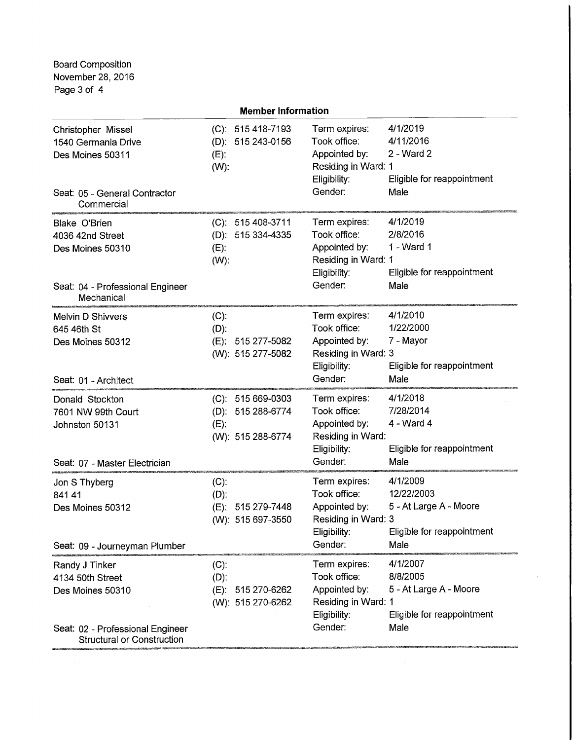Board Composition November 28, 2016 Page 3 of 4

| <b>Member Information</b>                                                                                                    |                                                                         |                                                                                                  |                                                                                        |  |
|------------------------------------------------------------------------------------------------------------------------------|-------------------------------------------------------------------------|--------------------------------------------------------------------------------------------------|----------------------------------------------------------------------------------------|--|
| Christopher Missel<br>1540 Germania Drive<br>Des Moines 50311<br>Seat: 05 - General Contractor                               | (C): 515 418-7193<br>$(D): 515243-0156$<br>$(E)$ :<br>$(W)$ :           | Term expires:<br>Took office:<br>Appointed by:<br>Residing in Ward: 1<br>Eligibility:<br>Gender: | 4/1/2019<br>4/11/2016<br>2 - Ward 2<br>Eligible for reappointment<br>Male              |  |
| Commercial<br><b>Blake O'Brien</b><br>4036 42nd Street<br>Des Moines 50310<br>Seat: 04 - Professional Engineer<br>Mechanical | (C): 515 408-3711<br>(D): 515 334-4335<br>$(E)$ :<br>$(W)$ :            | Term expires:<br>Took office:<br>Appointed by:<br>Residing in Ward: 1<br>Eligibility:<br>Gender: | 4/1/2019<br>2/8/2016<br>1 - Ward 1<br>Eligible for reappointment<br>Male               |  |
| Melvin D Shivvers<br>645 46th St<br>Des Moines 50312<br>Seat: 01 - Architect                                                 | $(C)$ :<br>$(D)$ :<br>(E): 515 277-5082<br>(W): 515 277-5082            | Term expires:<br>Took office:<br>Appointed by:<br>Residing in Ward: 3<br>Eligibility:<br>Gender: | 4/1/2010<br>1/22/2000<br>7 - Mayor<br>Eligible for reappointment<br>Male               |  |
| Donald Stockton<br>7601 NW 99th Court<br>Johnston 50131<br>Seat: 07 - Master Electrician                                     | $(C): 515669-0303$<br>(D): 515 288-6774<br>$(E)$ :<br>(W): 515 288-6774 | Term expires:<br>Took office:<br>Appointed by:<br>Residing in Ward:<br>Eligibility:<br>Gender:   | 4/1/2018<br>7/28/2014<br>4 - Ward 4<br>Eligible for reappointment<br>Male              |  |
| Jon S Thyberg<br>841 41<br>Des Moines 50312<br>Seat: 09 - Journeyman Plumber                                                 | $(C)$ :<br>$(D)$ :<br>515 279-7448<br>$(E)$ :<br>(W): 515 697-3550      | Term expires:<br>Took office:<br>Appointed by:<br>Residing in Ward: 3<br>Eligibility:<br>Gender: | 4/1/2009<br>12/22/2003<br>5 - At Large A - Moore<br>Eligible for reappointment<br>Male |  |
| Randy J Tinker<br>4134 50th Street<br>Des Moines 50310<br>Seat: 02 - Professional Engineer                                   | $(C)$ :<br>$(D)$ :<br>$(E)$ :<br>515 270-6262<br>(W): 515 270-6262      | Term expires:<br>Took office:<br>Appointed by:<br>Residing in Ward: 1<br>Eligibility:<br>Gender: | 4/1/2007<br>8/8/2005<br>5 - At Large A - Moore<br>Eligible for reappointment<br>Male   |  |
| <b>Structural or Construction</b>                                                                                            |                                                                         |                                                                                                  |                                                                                        |  |